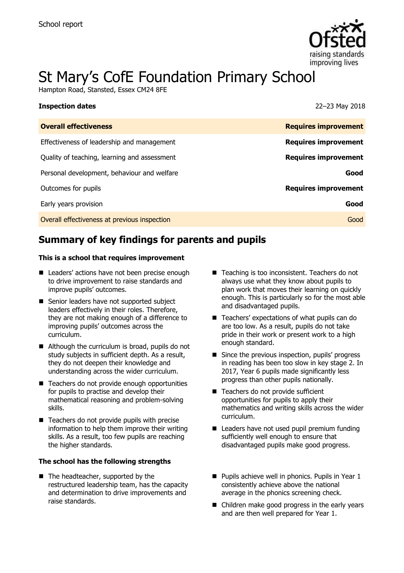

# St Mary's CofE Foundation Primary School

Hampton Road, Stansted, Essex CM24 8FE

|                                              | $=$ $=$ $=$ $\cdot$ $\cdot$ $\cdot$ $\cdot$ $=$ $\cdot$ $\cdot$ $\cdot$ $\cdot$ |
|----------------------------------------------|---------------------------------------------------------------------------------|
| <b>Overall effectiveness</b>                 | <b>Requires improvement</b>                                                     |
| Effectiveness of leadership and management   | <b>Requires improvement</b>                                                     |
| Quality of teaching, learning and assessment | <b>Requires improvement</b>                                                     |
| Personal development, behaviour and welfare  | Good                                                                            |
| Outcomes for pupils                          | <b>Requires improvement</b>                                                     |
| Early years provision                        | Good                                                                            |
| Overall effectiveness at previous inspection | Good                                                                            |

**Inspection dates** 22–23 May 2018

# **Summary of key findings for parents and pupils**

### **This is a school that requires improvement**

- Leaders' actions have not been precise enough to drive improvement to raise standards and improve pupils' outcomes.
- Senior leaders have not supported subject leaders effectively in their roles. Therefore, they are not making enough of a difference to improving pupils' outcomes across the curriculum.
- Although the curriculum is broad, pupils do not study subjects in sufficient depth. As a result, they do not deepen their knowledge and understanding across the wider curriculum.
- Teachers do not provide enough opportunities for pupils to practise and develop their mathematical reasoning and problem-solving skills.
- Teachers do not provide pupils with precise information to help them improve their writing skills. As a result, too few pupils are reaching the higher standards.

### **The school has the following strengths**

■ The headteacher, supported by the restructured leadership team, has the capacity and determination to drive improvements and raise standards.

- Teaching is too inconsistent. Teachers do not always use what they know about pupils to plan work that moves their learning on quickly enough. This is particularly so for the most able and disadvantaged pupils.
- Teachers' expectations of what pupils can do are too low. As a result, pupils do not take pride in their work or present work to a high enough standard.
- Since the previous inspection, pupils' progress in reading has been too slow in key stage 2. In 2017, Year 6 pupils made significantly less progress than other pupils nationally.
- Teachers do not provide sufficient opportunities for pupils to apply their mathematics and writing skills across the wider curriculum.
- Leaders have not used pupil premium funding sufficiently well enough to ensure that disadvantaged pupils make good progress.
- **Pupils achieve well in phonics. Pupils in Year 1** consistently achieve above the national average in the phonics screening check.
- Children make good progress in the early years and are then well prepared for Year 1.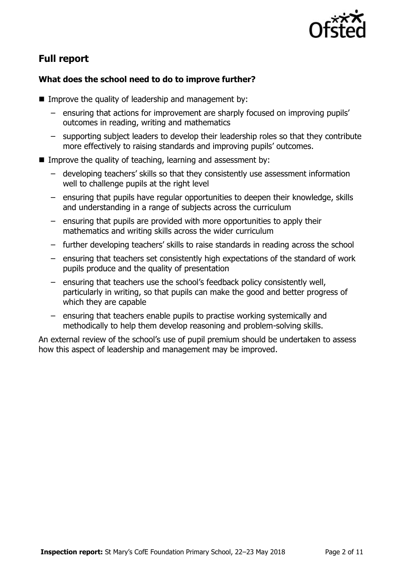

# **Full report**

### **What does the school need to do to improve further?**

- Improve the quality of leadership and management by:
	- ensuring that actions for improvement are sharply focused on improving pupils' outcomes in reading, writing and mathematics
	- supporting subject leaders to develop their leadership roles so that they contribute more effectively to raising standards and improving pupils' outcomes.
- Improve the quality of teaching, learning and assessment by:
	- developing teachers' skills so that they consistently use assessment information well to challenge pupils at the right level
	- ensuring that pupils have regular opportunities to deepen their knowledge, skills and understanding in a range of subjects across the curriculum
	- ensuring that pupils are provided with more opportunities to apply their mathematics and writing skills across the wider curriculum
	- further developing teachers' skills to raise standards in reading across the school
	- ensuring that teachers set consistently high expectations of the standard of work pupils produce and the quality of presentation
	- ensuring that teachers use the school's feedback policy consistently well, particularly in writing, so that pupils can make the good and better progress of which they are capable
	- ensuring that teachers enable pupils to practise working systemically and methodically to help them develop reasoning and problem-solving skills.

An external review of the school's use of pupil premium should be undertaken to assess how this aspect of leadership and management may be improved.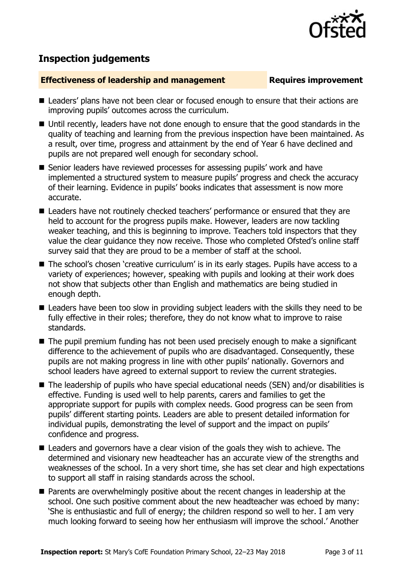

## **Inspection judgements**

### **Effectiveness of leadership and management Requires improvement**

- Leaders' plans have not been clear or focused enough to ensure that their actions are improving pupils' outcomes across the curriculum.
- Until recently, leaders have not done enough to ensure that the good standards in the quality of teaching and learning from the previous inspection have been maintained. As a result, over time, progress and attainment by the end of Year 6 have declined and pupils are not prepared well enough for secondary school.
- Senior leaders have reviewed processes for assessing pupils' work and have implemented a structured system to measure pupils' progress and check the accuracy of their learning. Evidence in pupils' books indicates that assessment is now more accurate.
- Leaders have not routinely checked teachers' performance or ensured that they are held to account for the progress pupils make. However, leaders are now tackling weaker teaching, and this is beginning to improve. Teachers told inspectors that they value the clear guidance they now receive. Those who completed Ofsted's online staff survey said that they are proud to be a member of staff at the school.
- The school's chosen 'creative curriculum' is in its early stages. Pupils have access to a variety of experiences; however, speaking with pupils and looking at their work does not show that subjects other than English and mathematics are being studied in enough depth.
- Leaders have been too slow in providing subject leaders with the skills they need to be fully effective in their roles; therefore, they do not know what to improve to raise standards.
- The pupil premium funding has not been used precisely enough to make a significant difference to the achievement of pupils who are disadvantaged. Consequently, these pupils are not making progress in line with other pupils' nationally. Governors and school leaders have agreed to external support to review the current strategies.
- The leadership of pupils who have special educational needs (SEN) and/or disabilities is effective. Funding is used well to help parents, carers and families to get the appropriate support for pupils with complex needs. Good progress can be seen from pupils' different starting points. Leaders are able to present detailed information for individual pupils, demonstrating the level of support and the impact on pupils' confidence and progress.
- Leaders and governors have a clear vision of the goals they wish to achieve. The determined and visionary new headteacher has an accurate view of the strengths and weaknesses of the school. In a very short time, she has set clear and high expectations to support all staff in raising standards across the school.
- **Parents are overwhelmingly positive about the recent changes in leadership at the** school. One such positive comment about the new headteacher was echoed by many: 'She is enthusiastic and full of energy; the children respond so well to her. I am very much looking forward to seeing how her enthusiasm will improve the school.' Another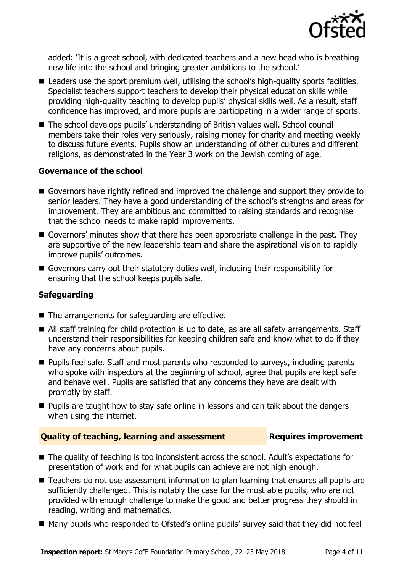

added: 'It is a great school, with dedicated teachers and a new head who is breathing new life into the school and bringing greater ambitions to the school.'

- Leaders use the sport premium well, utilising the school's high-quality sports facilities. Specialist teachers support teachers to develop their physical education skills while providing high-quality teaching to develop pupils' physical skills well. As a result, staff confidence has improved, and more pupils are participating in a wider range of sports.
- The school develops pupils' understanding of British values well. School council members take their roles very seriously, raising money for charity and meeting weekly to discuss future events. Pupils show an understanding of other cultures and different religions, as demonstrated in the Year 3 work on the Jewish coming of age.

### **Governance of the school**

- Governors have rightly refined and improved the challenge and support they provide to senior leaders. They have a good understanding of the school's strengths and areas for improvement. They are ambitious and committed to raising standards and recognise that the school needs to make rapid improvements.
- Governors' minutes show that there has been appropriate challenge in the past. They are supportive of the new leadership team and share the aspirational vision to rapidly improve pupils' outcomes.
- Governors carry out their statutory duties well, including their responsibility for ensuring that the school keeps pupils safe.

### **Safeguarding**

- $\blacksquare$  The arrangements for safeguarding are effective.
- All staff training for child protection is up to date, as are all safety arrangements. Staff understand their responsibilities for keeping children safe and know what to do if they have any concerns about pupils.
- **Pupils feel safe. Staff and most parents who responded to surveys, including parents** who spoke with inspectors at the beginning of school, agree that pupils are kept safe and behave well. Pupils are satisfied that any concerns they have are dealt with promptly by staff.
- **Pupils are taught how to stay safe online in lessons and can talk about the dangers** when using the internet.

### **Quality of teaching, learning and assessment Requires improvement**

- The quality of teaching is too inconsistent across the school. Adult's expectations for presentation of work and for what pupils can achieve are not high enough.
- Teachers do not use assessment information to plan learning that ensures all pupils are sufficiently challenged. This is notably the case for the most able pupils, who are not provided with enough challenge to make the good and better progress they should in reading, writing and mathematics.
- Many pupils who responded to Ofsted's online pupils' survey said that they did not feel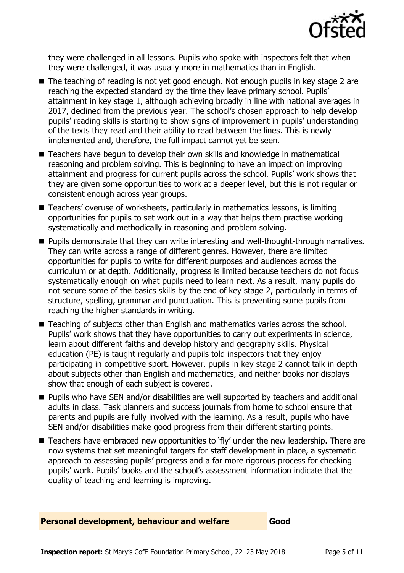

they were challenged in all lessons. Pupils who spoke with inspectors felt that when they were challenged, it was usually more in mathematics than in English.

- The teaching of reading is not yet good enough. Not enough pupils in key stage 2 are reaching the expected standard by the time they leave primary school. Pupils' attainment in key stage 1, although achieving broadly in line with national averages in 2017, declined from the previous year. The school's chosen approach to help develop pupils' reading skills is starting to show signs of improvement in pupils' understanding of the texts they read and their ability to read between the lines. This is newly implemented and, therefore, the full impact cannot yet be seen.
- Teachers have begun to develop their own skills and knowledge in mathematical reasoning and problem solving. This is beginning to have an impact on improving attainment and progress for current pupils across the school. Pupils' work shows that they are given some opportunities to work at a deeper level, but this is not regular or consistent enough across year groups.
- Teachers' overuse of worksheets, particularly in mathematics lessons, is limiting opportunities for pupils to set work out in a way that helps them practise working systematically and methodically in reasoning and problem solving.
- **Pupils demonstrate that they can write interesting and well-thought-through narratives.** They can write across a range of different genres. However, there are limited opportunities for pupils to write for different purposes and audiences across the curriculum or at depth. Additionally, progress is limited because teachers do not focus systematically enough on what pupils need to learn next. As a result, many pupils do not secure some of the basics skills by the end of key stage 2, particularly in terms of structure, spelling, grammar and punctuation. This is preventing some pupils from reaching the higher standards in writing.
- Teaching of subjects other than English and mathematics varies across the school. Pupils' work shows that they have opportunities to carry out experiments in science, learn about different faiths and develop history and geography skills. Physical education (PE) is taught regularly and pupils told inspectors that they enjoy participating in competitive sport. However, pupils in key stage 2 cannot talk in depth about subjects other than English and mathematics, and neither books nor displays show that enough of each subject is covered.
- **Pupils who have SEN and/or disabilities are well supported by teachers and additional** adults in class. Task planners and success journals from home to school ensure that parents and pupils are fully involved with the learning. As a result, pupils who have SEN and/or disabilities make good progress from their different starting points.
- Teachers have embraced new opportunities to 'fly' under the new leadership. There are now systems that set meaningful targets for staff development in place, a systematic approach to assessing pupils' progress and a far more rigorous process for checking pupils' work. Pupils' books and the school's assessment information indicate that the quality of teaching and learning is improving.

### **Personal development, behaviour and welfare Good**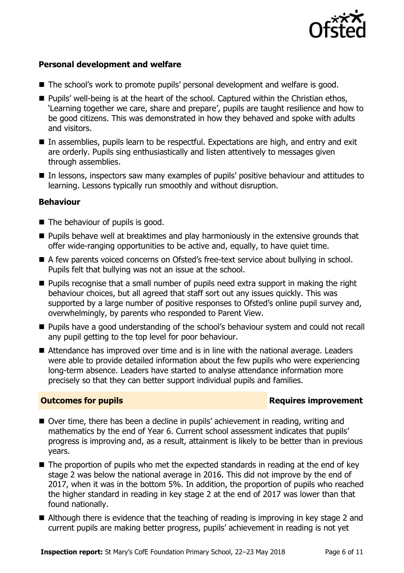

### **Personal development and welfare**

- The school's work to promote pupils' personal development and welfare is good.
- **Pupils'** well-being is at the heart of the school. Captured within the Christian ethos, 'Learning together we care, share and prepare', pupils are taught resilience and how to be good citizens. This was demonstrated in how they behaved and spoke with adults and visitors.
- In assemblies, pupils learn to be respectful. Expectations are high, and entry and exit are orderly. Pupils sing enthusiastically and listen attentively to messages given through assemblies.
- In lessons, inspectors saw many examples of pupils' positive behaviour and attitudes to learning. Lessons typically run smoothly and without disruption.

### **Behaviour**

- $\blacksquare$  The behaviour of pupils is good.
- $\blacksquare$  Pupils behave well at breaktimes and play harmoniously in the extensive grounds that offer wide-ranging opportunities to be active and, equally, to have quiet time.
- A few parents voiced concerns on Ofsted's free-text service about bullying in school. Pupils felt that bullying was not an issue at the school.
- **Pupils recognise that a small number of pupils need extra support in making the right** behaviour choices, but all agreed that staff sort out any issues quickly. This was supported by a large number of positive responses to Ofsted's online pupil survey and, overwhelmingly, by parents who responded to Parent View.
- **Pupils have a good understanding of the school's behaviour system and could not recall** any pupil getting to the top level for poor behaviour.
- Attendance has improved over time and is in line with the national average. Leaders were able to provide detailed information about the few pupils who were experiencing long-term absence. Leaders have started to analyse attendance information more precisely so that they can better support individual pupils and families.

### **Outcomes for pupils Requires improvement**

- Over time, there has been a decline in pupils' achievement in reading, writing and mathematics by the end of Year 6. Current school assessment indicates that pupils' progress is improving and, as a result, attainment is likely to be better than in previous years.
- The proportion of pupils who met the expected standards in reading at the end of key stage 2 was below the national average in 2016. This did not improve by the end of 2017, when it was in the bottom 5%. In addition, the proportion of pupils who reached the higher standard in reading in key stage 2 at the end of 2017 was lower than that found nationally.
- Although there is evidence that the teaching of reading is improving in key stage 2 and current pupils are making better progress, pupils' achievement in reading is not yet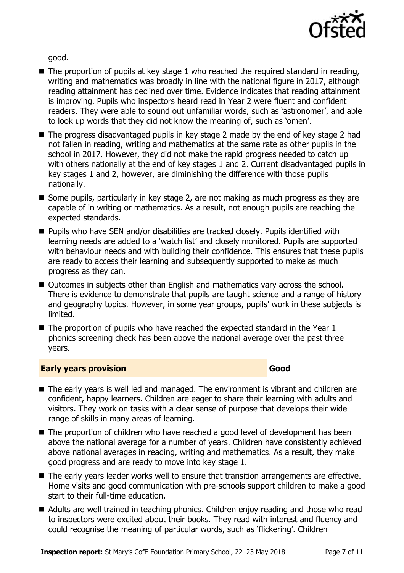

good.

- $\blacksquare$  The proportion of pupils at key stage 1 who reached the required standard in reading, writing and mathematics was broadly in line with the national figure in 2017, although reading attainment has declined over time. Evidence indicates that reading attainment is improving. Pupils who inspectors heard read in Year 2 were fluent and confident readers. They were able to sound out unfamiliar words, such as 'astronomer', and able to look up words that they did not know the meaning of, such as 'omen'.
- The progress disadvantaged pupils in key stage 2 made by the end of key stage 2 had not fallen in reading, writing and mathematics at the same rate as other pupils in the school in 2017. However, they did not make the rapid progress needed to catch up with others nationally at the end of key stages 1 and 2. Current disadvantaged pupils in key stages 1 and 2, however, are diminishing the difference with those pupils nationally.
- Some pupils, particularly in key stage 2, are not making as much progress as they are capable of in writing or mathematics. As a result, not enough pupils are reaching the expected standards.
- Pupils who have SEN and/or disabilities are tracked closely. Pupils identified with learning needs are added to a 'watch list' and closely monitored. Pupils are supported with behaviour needs and with building their confidence. This ensures that these pupils are ready to access their learning and subsequently supported to make as much progress as they can.
- Outcomes in subjects other than English and mathematics vary across the school. There is evidence to demonstrate that pupils are taught science and a range of history and geography topics. However, in some year groups, pupils' work in these subjects is limited.
- $\blacksquare$  The proportion of pupils who have reached the expected standard in the Year 1 phonics screening check has been above the national average over the past three years.

### **Early years provision Good Good**

- The early years is well led and managed. The environment is vibrant and children are confident, happy learners. Children are eager to share their learning with adults and visitors. They work on tasks with a clear sense of purpose that develops their wide range of skills in many areas of learning.
- The proportion of children who have reached a good level of development has been above the national average for a number of years. Children have consistently achieved above national averages in reading, writing and mathematics. As a result, they make good progress and are ready to move into key stage 1.
- The early years leader works well to ensure that transition arrangements are effective. Home visits and good communication with pre-schools support children to make a good start to their full-time education.
- Adults are well trained in teaching phonics. Children enjoy reading and those who read to inspectors were excited about their books. They read with interest and fluency and could recognise the meaning of particular words, such as 'flickering'. Children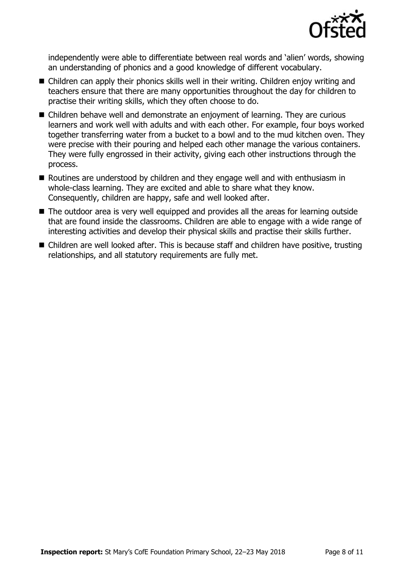

independently were able to differentiate between real words and 'alien' words, showing an understanding of phonics and a good knowledge of different vocabulary.

- Children can apply their phonics skills well in their writing. Children enjoy writing and teachers ensure that there are many opportunities throughout the day for children to practise their writing skills, which they often choose to do.
- Children behave well and demonstrate an enjoyment of learning. They are curious learners and work well with adults and with each other. For example, four boys worked together transferring water from a bucket to a bowl and to the mud kitchen oven. They were precise with their pouring and helped each other manage the various containers. They were fully engrossed in their activity, giving each other instructions through the process.
- Routines are understood by children and they engage well and with enthusiasm in whole-class learning. They are excited and able to share what they know. Consequently, children are happy, safe and well looked after.
- The outdoor area is very well equipped and provides all the areas for learning outside that are found inside the classrooms. Children are able to engage with a wide range of interesting activities and develop their physical skills and practise their skills further.
- Children are well looked after. This is because staff and children have positive, trusting relationships, and all statutory requirements are fully met.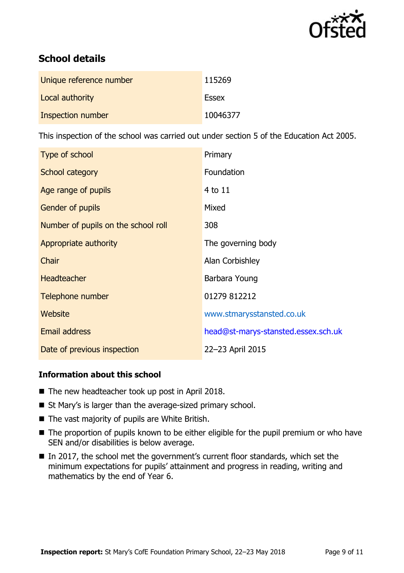

# **School details**

| Unique reference number | 115269       |
|-------------------------|--------------|
| Local authority         | <b>Essex</b> |
| Inspection number       | 10046377     |

This inspection of the school was carried out under section 5 of the Education Act 2005.

| Type of school                      | Primary                             |
|-------------------------------------|-------------------------------------|
| School category                     | Foundation                          |
| Age range of pupils                 | 4 to 11                             |
| Gender of pupils                    | Mixed                               |
| Number of pupils on the school roll | 308                                 |
| Appropriate authority               | The governing body                  |
| Chair                               | Alan Corbishley                     |
| <b>Headteacher</b>                  | Barbara Young                       |
| Telephone number                    | 01279 812212                        |
| Website                             | www.stmarysstansted.co.uk           |
| <b>Email address</b>                | head@st-marys-stansted.essex.sch.uk |
| Date of previous inspection         | 22-23 April 2015                    |

### **Information about this school**

- The new headteacher took up post in April 2018.
- St Mary's is larger than the average-sized primary school.
- The vast majority of pupils are White British.
- The proportion of pupils known to be either eligible for the pupil premium or who have SEN and/or disabilities is below average.
- In 2017, the school met the government's current floor standards, which set the minimum expectations for pupils' attainment and progress in reading, writing and mathematics by the end of Year 6.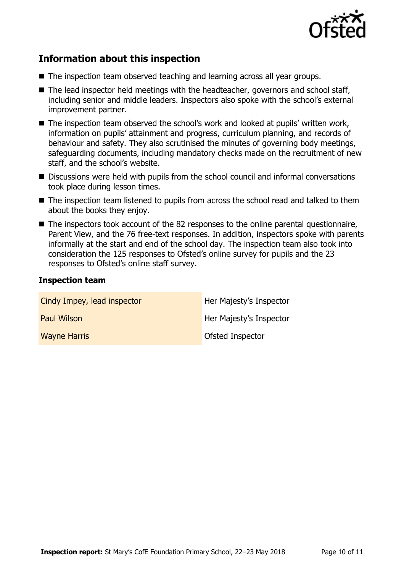

# **Information about this inspection**

- The inspection team observed teaching and learning across all year groups.
- $\blacksquare$  The lead inspector held meetings with the headteacher, governors and school staff, including senior and middle leaders. Inspectors also spoke with the school's external improvement partner.
- The inspection team observed the school's work and looked at pupils' written work, information on pupils' attainment and progress, curriculum planning, and records of behaviour and safety. They also scrutinised the minutes of governing body meetings, safeguarding documents, including mandatory checks made on the recruitment of new staff, and the school's website.
- Discussions were held with pupils from the school council and informal conversations took place during lesson times.
- The inspection team listened to pupils from across the school read and talked to them about the books they enjoy.
- The inspectors took account of the 82 responses to the online parental questionnaire, Parent View, and the 76 free-text responses. In addition, inspectors spoke with parents informally at the start and end of the school day. The inspection team also took into consideration the 125 responses to Ofsted's online survey for pupils and the 23 responses to Ofsted's online staff survey.

### **Inspection team**

| Cindy Impey, lead inspector | Her Majesty's Inspector |
|-----------------------------|-------------------------|
| <b>Paul Wilson</b>          | Her Majesty's Inspector |
| <b>Wayne Harris</b>         | Ofsted Inspector        |